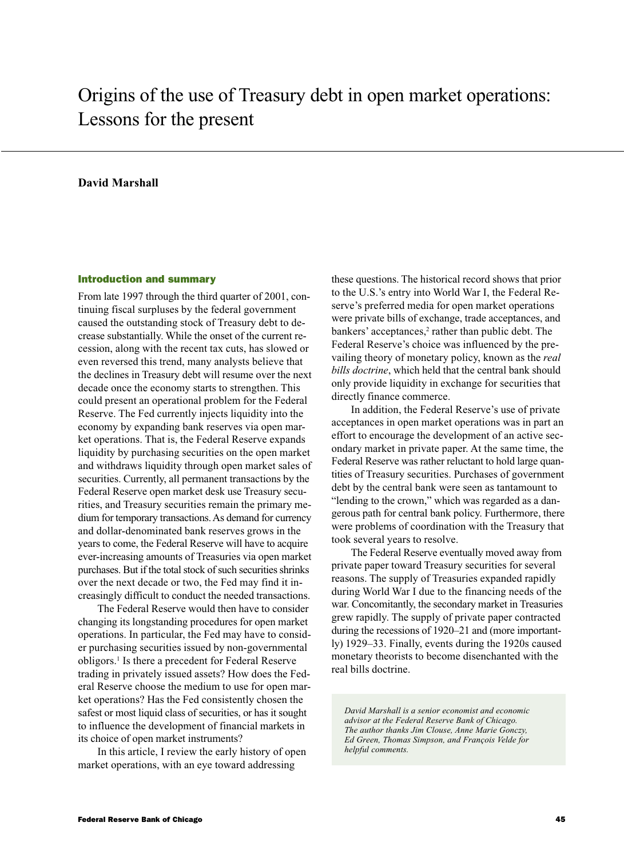# Origins of the use of Treasury debt in open market operations: Lessons for the present

## **David Marshall**

#### Introduction and summary

From late 1997 through the third quarter of 2001, continuing fiscal surpluses by the federal government caused the outstanding stock of Treasury debt to decrease substantially. While the onset of the current recession, along with the recent tax cuts, has slowed or even reversed this trend, many analysts believe that the declines in Treasury debt will resume over the next decade once the economy starts to strengthen. This could present an operational problem for the Federal Reserve. The Fed currently injects liquidity into the economy by expanding bank reserves via open market operations. That is, the Federal Reserve expands liquidity by purchasing securities on the open market and withdraws liquidity through open market sales of securities. Currently, all permanent transactions by the Federal Reserve open market desk use Treasury securities, and Treasury securities remain the primary medium for temporary transactions. As demand for currency and dollar-denominated bank reserves grows in the years to come, the Federal Reserve will have to acquire ever-increasing amounts of Treasuries via open market purchases. But if the total stock of such securities shrinks over the next decade or two, the Fed may find it increasingly difficult to conduct the needed transactions.

The Federal Reserve would then have to consider changing its longstanding procedures for open market operations. In particular, the Fed may have to consider purchasing securities issued by non-governmental obligors.1 Is there a precedent for Federal Reserve trading in privately issued assets? How does the Federal Reserve choose the medium to use for open market operations? Has the Fed consistently chosen the safest or most liquid class of securities, or has it sought to influence the development of financial markets in its choice of open market instruments?

In this article, I review the early history of open market operations, with an eye toward addressing

these questions. The historical record shows that prior to the U.S.'s entry into World War I, the Federal Reserve's preferred media for open market operations were private bills of exchange, trade acceptances, and bankers' acceptances,<sup>2</sup> rather than public debt. The Federal Reserve's choice was influenced by the prevailing theory of monetary policy, known as the *real bills doctrine*, which held that the central bank should only provide liquidity in exchange for securities that directly finance commerce.

In addition, the Federal Reserve's use of private acceptances in open market operations was in part an effort to encourage the development of an active secondary market in private paper. At the same time, the Federal Reserve was rather reluctant to hold large quantities of Treasury securities. Purchases of government debt by the central bank were seen as tantamount to "lending to the crown," which was regarded as a dangerous path for central bank policy. Furthermore, there were problems of coordination with the Treasury that took several years to resolve.

The Federal Reserve eventually moved away from private paper toward Treasury securities for several reasons. The supply of Treasuries expanded rapidly during World War I due to the financing needs of the war. Concomitantly, the secondary market in Treasuries grew rapidly. The supply of private paper contracted during the recessions of 1920–21 and (more importantly) 1929–33. Finally, events during the 1920s caused monetary theorists to become disenchanted with the real bills doctrine.

*David Marshall is a senior economist and economic advisor at the Federal Reserve Bank of Chicago. The author thanks Jim Clouse, Anne Marie Gonczy, Ed Green, Thomas Simpson, and François Velde for helpful comments.*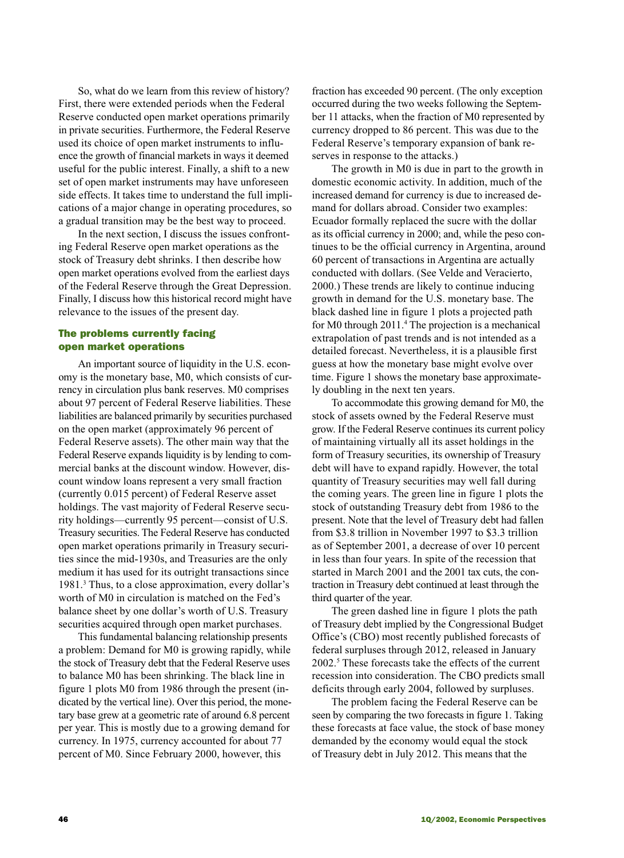So, what do we learn from this review of history? First, there were extended periods when the Federal Reserve conducted open market operations primarily in private securities. Furthermore, the Federal Reserve used its choice of open market instruments to influence the growth of financial markets in ways it deemed useful for the public interest. Finally, a shift to a new set of open market instruments may have unforeseen side effects. It takes time to understand the full implications of a major change in operating procedures, so a gradual transition may be the best way to proceed.

In the next section, I discuss the issues confronting Federal Reserve open market operations as the stock of Treasury debt shrinks. I then describe how open market operations evolved from the earliest days of the Federal Reserve through the Great Depression. Finally, I discuss how this historical record might have relevance to the issues of the present day.

## The problems currently facing open market operations

An important source of liquidity in the U.S. economy is the monetary base, M0, which consists of currency in circulation plus bank reserves. M0 comprises about 97 percent of Federal Reserve liabilities. These liabilities are balanced primarily by securities purchased on the open market (approximately 96 percent of Federal Reserve assets). The other main way that the Federal Reserve expands liquidity is by lending to commercial banks at the discount window. However, discount window loans represent a very small fraction (currently 0.015 percent) of Federal Reserve asset holdings. The vast majority of Federal Reserve security holdings—currently 95 percent—consist of U.S. Treasury securities. The Federal Reserve has conducted open market operations primarily in Treasury securities since the mid-1930s, and Treasuries are the only medium it has used for its outright transactions since 1981.3 Thus, to a close approximation, every dollar's worth of M0 in circulation is matched on the Fed's balance sheet by one dollar's worth of U.S. Treasury securities acquired through open market purchases.

This fundamental balancing relationship presents a problem: Demand for M0 is growing rapidly, while the stock of Treasury debt that the Federal Reserve uses to balance M0 has been shrinking. The black line in figure 1 plots M0 from 1986 through the present (indicated by the vertical line). Over this period, the monetary base grew at a geometric rate of around 6.8 percent per year. This is mostly due to a growing demand for currency. In 1975, currency accounted for about 77 percent of M0. Since February 2000, however, this

fraction has exceeded 90 percent. (The only exception occurred during the two weeks following the September 11 attacks, when the fraction of M0 represented by currency dropped to 86 percent. This was due to the Federal Reserve's temporary expansion of bank reserves in response to the attacks.)

The growth in M0 is due in part to the growth in domestic economic activity. In addition, much of the increased demand for currency is due to increased demand for dollars abroad. Consider two examples: Ecuador formally replaced the sucre with the dollar as its official currency in 2000; and, while the peso continues to be the official currency in Argentina, around 60 percent of transactions in Argentina are actually conducted with dollars. (See Velde and Veracierto, 2000.) These trends are likely to continue inducing growth in demand for the U.S. monetary base. The black dashed line in figure 1 plots a projected path for M0 through 2011.4 The projection is a mechanical extrapolation of past trends and is not intended as a detailed forecast. Nevertheless, it is a plausible first guess at how the monetary base might evolve over time. Figure 1 shows the monetary base approximately doubling in the next ten years.

To accommodate this growing demand for M0, the stock of assets owned by the Federal Reserve must grow. If the Federal Reserve continues its current policy of maintaining virtually all its asset holdings in the form of Treasury securities, its ownership of Treasury debt will have to expand rapidly. However, the total quantity of Treasury securities may well fall during the coming years. The green line in figure 1 plots the stock of outstanding Treasury debt from 1986 to the present. Note that the level of Treasury debt had fallen from \$3.8 trillion in November 1997 to \$3.3 trillion as of September 2001, a decrease of over 10 percent in less than four years. In spite of the recession that started in March 2001 and the 2001 tax cuts, the contraction in Treasury debt continued at least through the third quarter of the year.

The green dashed line in figure 1 plots the path of Treasury debt implied by the Congressional Budget Office's (CBO) most recently published forecasts of federal surpluses through 2012, released in January 2002.5 These forecasts take the effects of the current recession into consideration. The CBO predicts small deficits through early 2004, followed by surpluses.

The problem facing the Federal Reserve can be seen by comparing the two forecasts in figure 1. Taking these forecasts at face value, the stock of base money demanded by the economy would equal the stock of Treasury debt in July 2012. This means that the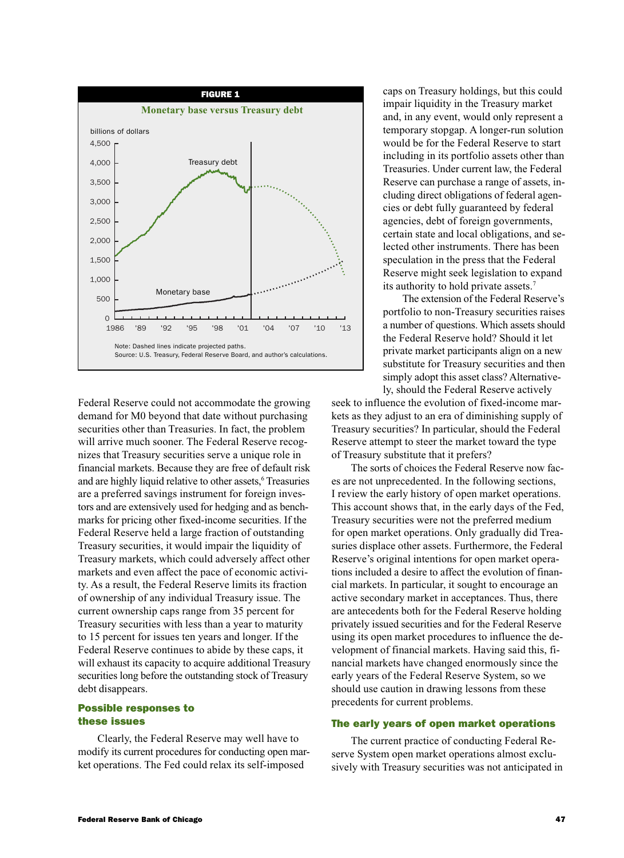

Federal Reserve could not accommodate the growing demand for M0 beyond that date without purchasing securities other than Treasuries. In fact, the problem will arrive much sooner. The Federal Reserve recognizes that Treasury securities serve a unique role in financial markets. Because they are free of default risk and are highly liquid relative to other assets,<sup>6</sup> Treasuries are a preferred savings instrument for foreign investors and are extensively used for hedging and as benchmarks for pricing other fixed-income securities. If the Federal Reserve held a large fraction of outstanding Treasury securities, it would impair the liquidity of Treasury markets, which could adversely affect other markets and even affect the pace of economic activity. As a result, the Federal Reserve limits its fraction of ownership of any individual Treasury issue. The current ownership caps range from 35 percent for Treasury securities with less than a year to maturity to 15 percent for issues ten years and longer. If the Federal Reserve continues to abide by these caps, it will exhaust its capacity to acquire additional Treasury securities long before the outstanding stock of Treasury debt disappears.

## Possible responses to these issues

Clearly, the Federal Reserve may well have to modify its current procedures for conducting open market operations. The Fed could relax its self-imposed

caps on Treasury holdings, but this could impair liquidity in the Treasury market and, in any event, would only represent a temporary stopgap. A longer-run solution would be for the Federal Reserve to start including in its portfolio assets other than Treasuries. Under current law, the Federal Reserve can purchase a range of assets, including direct obligations of federal agencies or debt fully guaranteed by federal agencies, debt of foreign governments, certain state and local obligations, and selected other instruments. There has been speculation in the press that the Federal Reserve might seek legislation to expand its authority to hold private assets.7

The extension of the Federal Reserve's portfolio to non-Treasury securities raises a number of questions. Which assets should the Federal Reserve hold? Should it let private market participants align on a new substitute for Treasury securities and then simply adopt this asset class? Alternatively, should the Federal Reserve actively

seek to influence the evolution of fixed-income markets as they adjust to an era of diminishing supply of Treasury securities? In particular, should the Federal Reserve attempt to steer the market toward the type of Treasury substitute that it prefers?

The sorts of choices the Federal Reserve now faces are not unprecedented. In the following sections, I review the early history of open market operations. This account shows that, in the early days of the Fed, Treasury securities were not the preferred medium for open market operations. Only gradually did Treasuries displace other assets. Furthermore, the Federal Reserve's original intentions for open market operations included a desire to affect the evolution of financial markets. In particular, it sought to encourage an active secondary market in acceptances. Thus, there are antecedents both for the Federal Reserve holding privately issued securities and for the Federal Reserve using its open market procedures to influence the development of financial markets. Having said this, financial markets have changed enormously since the early years of the Federal Reserve System, so we should use caution in drawing lessons from these precedents for current problems.

### The early years of open market operations

The current practice of conducting Federal Reserve System open market operations almost exclusively with Treasury securities was not anticipated in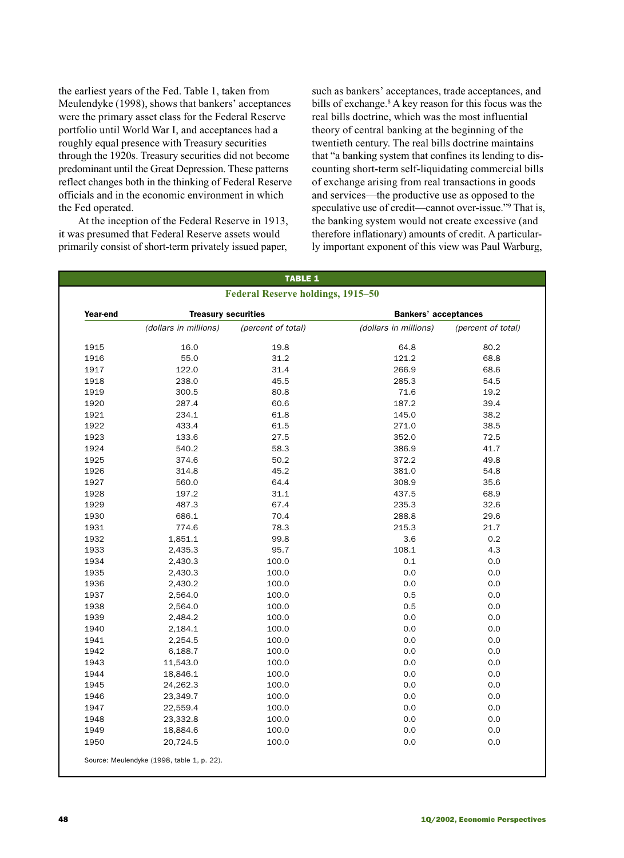the earliest years of the Fed. Table 1, taken from Meulendyke (1998), shows that bankers' acceptances were the primary asset class for the Federal Reserve portfolio until World War I, and acceptances had a roughly equal presence with Treasury securities through the 1920s. Treasury securities did not become predominant until the Great Depression. These patterns reflect changes both in the thinking of Federal Reserve officials and in the economic environment in which the Fed operated.

At the inception of the Federal Reserve in 1913, it was presumed that Federal Reserve assets would primarily consist of short-term privately issued paper,

such as bankers' acceptances, trade acceptances, and bills of exchange.8 A key reason for this focus was the real bills doctrine, which was the most influential theory of central banking at the beginning of the twentieth century. The real bills doctrine maintains that "a banking system that confines its lending to discounting short-term self-liquidating commercial bills of exchange arising from real transactions in goods and services—the productive use as opposed to the speculative use of credit—cannot over-issue."9 That is, the banking system would not create excessive (and therefore inflationary) amounts of credit. A particularly important exponent of this view was Paul Warburg,

| <b>TABLE 1</b>                           |                            |                    |                             |                    |  |  |  |  |
|------------------------------------------|----------------------------|--------------------|-----------------------------|--------------------|--|--|--|--|
| <b>Federal Reserve holdings, 1915-50</b> |                            |                    |                             |                    |  |  |  |  |
| Year-end                                 | <b>Treasury securities</b> |                    | <b>Bankers' acceptances</b> |                    |  |  |  |  |
|                                          | (dollars in millions)      | (percent of total) | (dollars in millions)       | (percent of total) |  |  |  |  |
| 1915                                     | 16.0                       | 19.8               | 64.8                        | 80.2               |  |  |  |  |
| 1916                                     | 55.0                       | 31.2               | 121.2                       | 68.8               |  |  |  |  |
| 1917                                     | 122.0                      | 31.4               | 266.9                       | 68.6               |  |  |  |  |
| 1918                                     | 238.0                      | 45.5               | 285.3                       | 54.5               |  |  |  |  |
| 1919                                     | 300.5                      | 80.8               | 71.6                        | 19.2               |  |  |  |  |
| 1920                                     | 287.4                      | 60.6               | 187.2                       | 39.4               |  |  |  |  |
| 1921                                     | 234.1                      | 61.8               | 145.0                       | 38.2               |  |  |  |  |
| 1922                                     | 433.4                      | 61.5               | 271.0                       | 38.5               |  |  |  |  |
| 1923                                     | 133.6                      | 27.5               | 352.0                       | 72.5               |  |  |  |  |
| 1924                                     | 540.2                      | 58.3               | 386.9                       | 41.7               |  |  |  |  |
| 1925                                     | 374.6                      | 50.2               | 372.2                       | 49.8               |  |  |  |  |
| 1926                                     | 314.8                      | 45.2               | 381.0                       | 54.8               |  |  |  |  |
| 1927                                     | 560.0                      | 64.4               | 308.9                       | 35.6               |  |  |  |  |
| 1928                                     | 197.2                      | 31.1               | 437.5                       | 68.9               |  |  |  |  |
| 1929                                     | 487.3                      | 67.4               | 235.3                       | 32.6               |  |  |  |  |
| 1930                                     | 686.1                      | 70.4               | 288.8                       | 29.6               |  |  |  |  |
| 1931                                     | 774.6                      | 78.3               | 215.3                       | 21.7               |  |  |  |  |
| 1932                                     | 1,851.1                    | 99.8               | 3.6                         | 0.2                |  |  |  |  |
| 1933                                     | 2,435.3                    | 95.7               | 108.1                       | 4.3                |  |  |  |  |
| 1934                                     | 2,430.3                    | 100.0              | 0.1                         | 0.0                |  |  |  |  |
| 1935                                     | 2,430.3                    | 100.0              | 0.0                         | $0.0\,$            |  |  |  |  |
| 1936                                     | 2,430.2                    | 100.0              | 0.0                         | 0.0                |  |  |  |  |
| 1937                                     | 2,564.0                    | 100.0              | 0.5                         | 0.0                |  |  |  |  |
| 1938                                     | 2,564.0                    | 100.0              | 0.5                         | 0.0                |  |  |  |  |
| 1939                                     | 2,484.2                    | 100.0              | 0.0                         | 0.0                |  |  |  |  |
| 1940                                     | 2,184.1                    | 100.0              | 0.0                         | 0.0                |  |  |  |  |
| 1941                                     | 2,254.5                    | 100.0              | 0.0                         | 0.0                |  |  |  |  |
| 1942                                     | 6,188.7                    | 100.0              | 0.0                         | 0.0                |  |  |  |  |
| 1943                                     | 11,543.0                   | 100.0              | 0.0                         | 0.0                |  |  |  |  |
| 1944                                     | 18,846.1                   | 100.0              | 0.0                         | 0.0                |  |  |  |  |
| 1945                                     | 24,262.3                   | 100.0              | 0.0                         | 0.0                |  |  |  |  |
| 1946                                     | 23,349.7                   | 100.0              | 0.0                         | 0.0                |  |  |  |  |
| 1947                                     | 22,559.4                   | 100.0              | 0.0                         | 0.0                |  |  |  |  |
| 1948                                     | 23,332.8                   | 100.0              | 0.0                         | 0.0                |  |  |  |  |
| 1949                                     | 18,884.6                   | 100.0              | 0.0                         | 0.0                |  |  |  |  |
| 1950                                     | 20,724.5                   | 100.0              | 0.0                         | $0.0\,$            |  |  |  |  |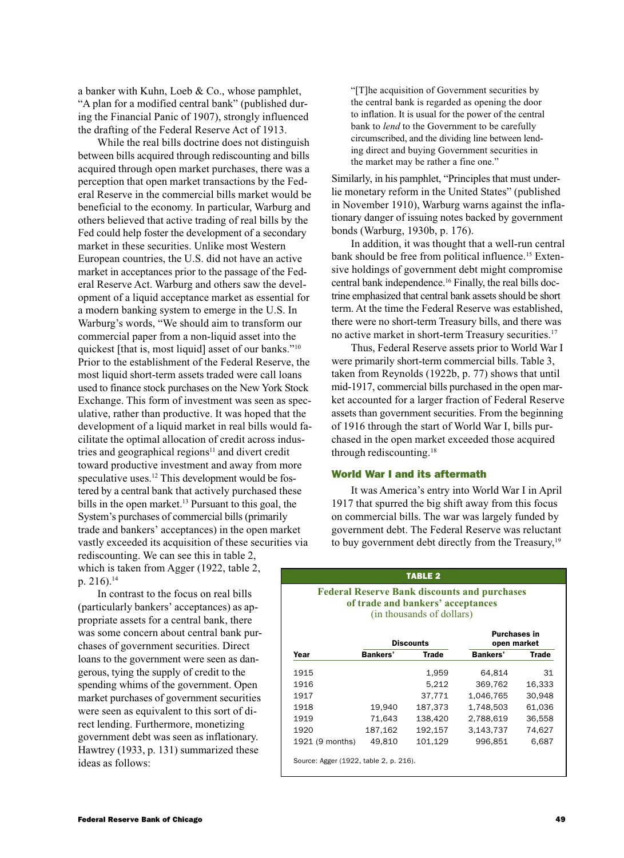a banker with Kuhn, Loeb & Co., whose pamphlet, "A plan for a modified central bank" (published during the Financial Panic of 1907), strongly influenced the drafting of the Federal Reserve Act of 1913.

While the real bills doctrine does not distinguish between bills acquired through rediscounting and bills acquired through open market purchases, there was a perception that open market transactions by the Federal Reserve in the commercial bills market would be beneficial to the economy. In particular, Warburg and others believed that active trading of real bills by the Fed could help foster the development of a secondary market in these securities. Unlike most Western European countries, the U.S. did not have an active market in acceptances prior to the passage of the Federal Reserve Act. Warburg and others saw the development of a liquid acceptance market as essential for a modern banking system to emerge in the U.S. In Warburg's words, "We should aim to transform our commercial paper from a non-liquid asset into the quickest [that is, most liquid] asset of our banks."10 Prior to the establishment of the Federal Reserve, the most liquid short-term assets traded were call loans used to finance stock purchases on the New York Stock Exchange. This form of investment was seen as speculative, rather than productive. It was hoped that the development of a liquid market in real bills would facilitate the optimal allocation of credit across industries and geographical regions<sup>11</sup> and divert credit toward productive investment and away from more speculative uses.<sup>12</sup> This development would be fostered by a central bank that actively purchased these bills in the open market.<sup>13</sup> Pursuant to this goal, the System's purchases of commercial bills (primarily trade and bankers' acceptances) in the open market vastly exceeded its acquisition of these securities via rediscounting. We can see this in table 2,

which is taken from Agger (1922, table 2, p.  $216$ ).<sup>14</sup>

In contrast to the focus on real bills (particularly bankers' acceptances) as appropriate assets for a central bank, there was some concern about central bank purchases of government securities. Direct loans to the government were seen as dangerous, tying the supply of credit to the spending whims of the government. Open market purchases of government securities were seen as equivalent to this sort of direct lending. Furthermore, monetizing government debt was seen as inflationary. Hawtrey (1933, p. 131) summarized these ideas as follows:

"[T]he acquisition of Government securities by the central bank is regarded as opening the door to inflation. It is usual for the power of the central bank to *lend* to the Government to be carefully circumscribed, and the dividing line between lending direct and buying Government securities in the market may be rather a fine one."

Similarly, in his pamphlet, "Principles that must underlie monetary reform in the United States" (published in November 1910), Warburg warns against the inflationary danger of issuing notes backed by government bonds (Warburg, 1930b, p. 176).

In addition, it was thought that a well-run central bank should be free from political influence.<sup>15</sup> Extensive holdings of government debt might compromise central bank independence.16 Finally, the real bills doctrine emphasized that central bank assets should be short term. At the time the Federal Reserve was established, there were no short-term Treasury bills, and there was no active market in short-term Treasury securities.17

Thus, Federal Reserve assets prior to World War I were primarily short-term commercial bills. Table 3, taken from Reynolds (1922b, p. 77) shows that until mid-1917, commercial bills purchased in the open market accounted for a larger fraction of Federal Reserve assets than government securities. From the beginning of 1916 through the start of World War I, bills purchased in the open market exceeded those acquired through rediscounting.18

#### World War I and its aftermath

It was America's entry into World War I in April 1917 that spurred the big shift away from this focus on commercial bills. The war was largely funded by government debt. The Federal Reserve was reluctant to buy government debt directly from the Treasury,<sup>19</sup>

TABLE 2

### **Federal Reserve Bank discounts and purchases of trade and bankers' acceptances** (in thousands of dollars)

|                                        |          | <b>Discounts</b> | <b>Purchases in</b><br>open market |              |
|----------------------------------------|----------|------------------|------------------------------------|--------------|
| Year                                   | Bankers' | <b>Trade</b>     | <b>Bankers'</b>                    | <b>Trade</b> |
| 1915                                   |          | 1,959            | 64.814                             | 31           |
| 1916                                   |          | 5,212            | 369.762                            | 16.333       |
| 1917                                   |          | 37.771           | 1.046.765                          | 30.948       |
| 1918                                   | 19.940   | 187.373          | 1.748.503                          | 61.036       |
| 1919                                   | 71.643   | 138.420          | 2.788.619                          | 36.558       |
| 1920                                   | 187,162  | 192,157          | 3.143.737                          | 74,627       |
| 1921 (9 months)                        | 49.810   | 101,129          | 996.851                            | 6,687        |
| Source: Agger (1922, table 2, p. 216). |          |                  |                                    |              |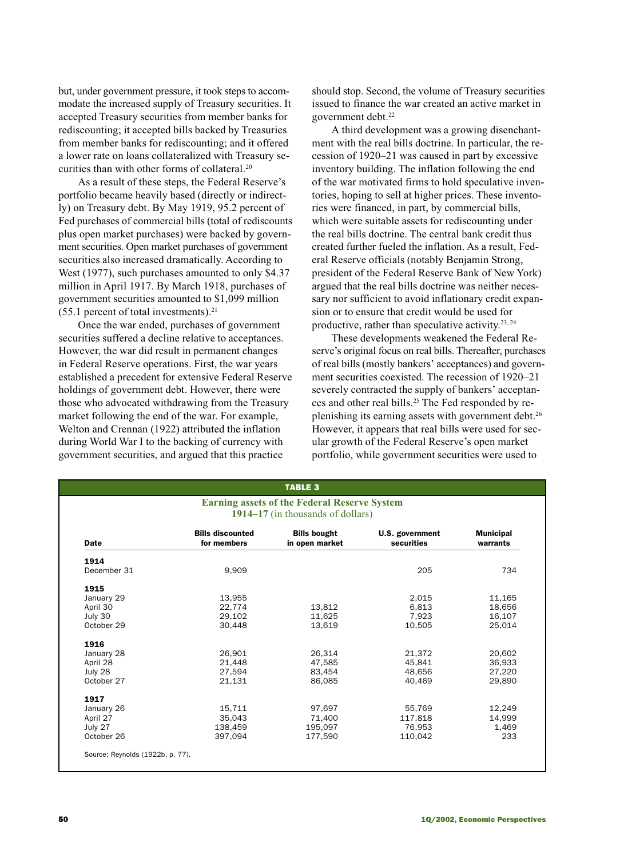but, under government pressure, it took steps to accommodate the increased supply of Treasury securities. It accepted Treasury securities from member banks for rediscounting; it accepted bills backed by Treasuries from member banks for rediscounting; and it offered a lower rate on loans collateralized with Treasury securities than with other forms of collateral.20

As a result of these steps, the Federal Reserve's portfolio became heavily based (directly or indirectly) on Treasury debt. By May 1919, 95.2 percent of Fed purchases of commercial bills (total of rediscounts plus open market purchases) were backed by government securities. Open market purchases of government securities also increased dramatically. According to West (1977), such purchases amounted to only \$4.37 million in April 1917. By March 1918, purchases of government securities amounted to \$1,099 million  $(55.1$  percent of total investments).<sup>21</sup>

Once the war ended, purchases of government securities suffered a decline relative to acceptances. However, the war did result in permanent changes in Federal Reserve operations. First, the war years established a precedent for extensive Federal Reserve holdings of government debt. However, there were those who advocated withdrawing from the Treasury market following the end of the war. For example, Welton and Crennan (1922) attributed the inflation during World War I to the backing of currency with government securities, and argued that this practice

should stop. Second, the volume of Treasury securities issued to finance the war created an active market in government debt.<sup>22</sup>

A third development was a growing disenchantment with the real bills doctrine. In particular, the recession of 1920–21 was caused in part by excessive inventory building. The inflation following the end of the war motivated firms to hold speculative inventories, hoping to sell at higher prices. These inventories were financed, in part, by commercial bills, which were suitable assets for rediscounting under the real bills doctrine. The central bank credit thus created further fueled the inflation. As a result, Federal Reserve officials (notably Benjamin Strong, president of the Federal Reserve Bank of New York) argued that the real bills doctrine was neither necessary nor sufficient to avoid inflationary credit expansion or to ensure that credit would be used for productive, rather than speculative activity.  $23, 24$ 

These developments weakened the Federal Reserve's original focus on real bills. Thereafter, purchases of real bills (mostly bankers' acceptances) and government securities coexisted. The recession of 1920–21 severely contracted the supply of bankers' acceptances and other real bills.<sup>25</sup> The Fed responded by replenishing its earning assets with government debt.<sup>26</sup> However, it appears that real bills were used for secular growth of the Federal Reserve's open market portfolio, while government securities were used to

| <b>Earning assets of the Federal Reserve System</b><br>1914–17 (in thousands of dollars) |                                        |                                       |                               |                              |  |  |  |
|------------------------------------------------------------------------------------------|----------------------------------------|---------------------------------------|-------------------------------|------------------------------|--|--|--|
| <b>Date</b>                                                                              | <b>Bills discounted</b><br>for members | <b>Bills bought</b><br>in open market | U.S. government<br>securities | <b>Municipal</b><br>warrants |  |  |  |
| 1914                                                                                     |                                        |                                       |                               |                              |  |  |  |
| December 31                                                                              | 9.909                                  |                                       | 205                           | 734                          |  |  |  |
| 1915                                                                                     |                                        |                                       |                               |                              |  |  |  |
| January 29                                                                               | 13,955                                 |                                       | 2,015                         | 11,165                       |  |  |  |
| April 30                                                                                 | 22,774                                 | 13,812                                | 6,813                         | 18,656                       |  |  |  |
| July 30                                                                                  | 29.102                                 | 11.625                                | 7.923                         | 16,107                       |  |  |  |
| October 29                                                                               | 30.448                                 | 13,619                                | 10,505                        | 25.014                       |  |  |  |
| 1916                                                                                     |                                        |                                       |                               |                              |  |  |  |
| January 28                                                                               | 26,901                                 | 26,314                                | 21,372                        | 20,602                       |  |  |  |
| April 28                                                                                 | 21,448                                 | 47,585                                | 45,841                        | 36,933                       |  |  |  |
| July 28                                                                                  | 27,594                                 | 83,454                                | 48,656                        | 27,220                       |  |  |  |
| October 27                                                                               | 21.131                                 | 86.085                                | 40.469                        | 29,890                       |  |  |  |
| 1917                                                                                     |                                        |                                       |                               |                              |  |  |  |
| January 26                                                                               | 15,711                                 | 97,697                                | 55,769                        | 12,249                       |  |  |  |
| April 27                                                                                 | 35,043                                 | 71,400                                | 117,818                       | 14,999                       |  |  |  |
| July 27                                                                                  | 138.459                                | 195.097                               | 76.953                        | 1.469                        |  |  |  |
| October 26                                                                               | 397.094                                | 177.590                               | 110.042                       | 233                          |  |  |  |
|                                                                                          |                                        |                                       |                               |                              |  |  |  |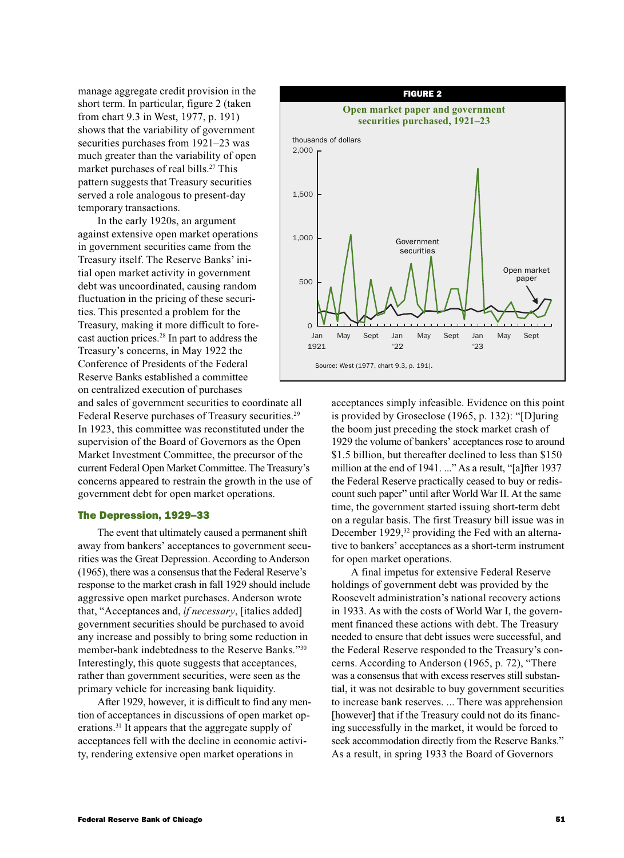manage aggregate credit provision in the short term. In particular, figure 2 (taken from chart 9.3 in West, 1977, p. 191) shows that the variability of government securities purchases from 1921–23 was much greater than the variability of open market purchases of real bills.<sup>27</sup> This pattern suggests that Treasury securities served a role analogous to present-day temporary transactions.

In the early 1920s, an argument against extensive open market operations in government securities came from the Treasury itself. The Reserve Banks' initial open market activity in government debt was uncoordinated, causing random fluctuation in the pricing of these securities. This presented a problem for the Treasury, making it more difficult to forecast auction prices.28 In part to address the Treasury's concerns, in May 1922 the Conference of Presidents of the Federal Reserve Banks established a committee on centralized execution of purchases

and sales of government securities to coordinate all Federal Reserve purchases of Treasury securities.<sup>29</sup> In 1923, this committee was reconstituted under the supervision of the Board of Governors as the Open Market Investment Committee, the precursor of the current Federal Open Market Committee. The Treasury's concerns appeared to restrain the growth in the use of government debt for open market operations.

#### The Depression, 1929–33

The event that ultimately caused a permanent shift away from bankers' acceptances to government securities was the Great Depression. According to Anderson (1965), there was a consensus that the Federal Reserve's response to the market crash in fall 1929 should include aggressive open market purchases. Anderson wrote that, "Acceptances and, *if necessary*, [italics added] government securities should be purchased to avoid any increase and possibly to bring some reduction in member-bank indebtedness to the Reserve Banks."30 Interestingly, this quote suggests that acceptances, rather than government securities, were seen as the primary vehicle for increasing bank liquidity.

After 1929, however, it is difficult to find any mention of acceptances in discussions of open market operations.31 It appears that the aggregate supply of acceptances fell with the decline in economic activity, rendering extensive open market operations in



acceptances simply infeasible. Evidence on this point is provided by Groseclose (1965, p. 132): "[D]uring the boom just preceding the stock market crash of 1929 the volume of bankers' acceptances rose to around \$1.5 billion, but thereafter declined to less than \$150 million at the end of 1941. ..." As a result, "[a]fter 1937 the Federal Reserve practically ceased to buy or rediscount such paper" until after World War II. At the same time, the government started issuing short-term debt on a regular basis. The first Treasury bill issue was in December 1929,<sup>32</sup> providing the Fed with an alternative to bankers' acceptances as a short-term instrument for open market operations.

A final impetus for extensive Federal Reserve holdings of government debt was provided by the Roosevelt administration's national recovery actions in 1933. As with the costs of World War I, the government financed these actions with debt. The Treasury needed to ensure that debt issues were successful, and the Federal Reserve responded to the Treasury's concerns. According to Anderson (1965, p. 72), "There was a consensus that with excess reserves still substantial, it was not desirable to buy government securities to increase bank reserves. ... There was apprehension [however] that if the Treasury could not do its financing successfully in the market, it would be forced to seek accommodation directly from the Reserve Banks." As a result, in spring 1933 the Board of Governors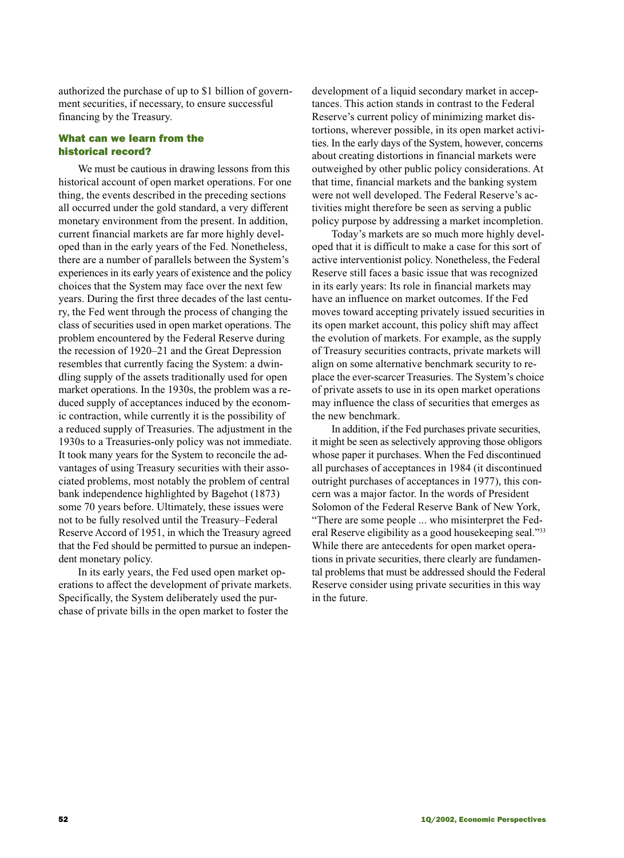authorized the purchase of up to \$1 billion of government securities, if necessary, to ensure successful financing by the Treasury.

## What can we learn from the historical record?

We must be cautious in drawing lessons from this historical account of open market operations. For one thing, the events described in the preceding sections all occurred under the gold standard, a very different monetary environment from the present. In addition, current financial markets are far more highly developed than in the early years of the Fed. Nonetheless, there are a number of parallels between the System's experiences in its early years of existence and the policy choices that the System may face over the next few years. During the first three decades of the last century, the Fed went through the process of changing the class of securities used in open market operations. The problem encountered by the Federal Reserve during the recession of 1920–21 and the Great Depression resembles that currently facing the System: a dwindling supply of the assets traditionally used for open market operations. In the 1930s, the problem was a reduced supply of acceptances induced by the economic contraction, while currently it is the possibility of a reduced supply of Treasuries. The adjustment in the 1930s to a Treasuries-only policy was not immediate. It took many years for the System to reconcile the advantages of using Treasury securities with their associated problems, most notably the problem of central bank independence highlighted by Bagehot (1873) some 70 years before. Ultimately, these issues were not to be fully resolved until the Treasury–Federal Reserve Accord of 1951, in which the Treasury agreed that the Fed should be permitted to pursue an independent monetary policy.

In its early years, the Fed used open market operations to affect the development of private markets. Specifically, the System deliberately used the purchase of private bills in the open market to foster the

development of a liquid secondary market in acceptances. This action stands in contrast to the Federal Reserve's current policy of minimizing market distortions, wherever possible, in its open market activities. In the early days of the System, however, concerns about creating distortions in financial markets were outweighed by other public policy considerations. At that time, financial markets and the banking system were not well developed. The Federal Reserve's activities might therefore be seen as serving a public policy purpose by addressing a market incompletion.

Today's markets are so much more highly developed that it is difficult to make a case for this sort of active interventionist policy. Nonetheless, the Federal Reserve still faces a basic issue that was recognized in its early years: Its role in financial markets may have an influence on market outcomes. If the Fed moves toward accepting privately issued securities in its open market account, this policy shift may affect the evolution of markets. For example, as the supply of Treasury securities contracts, private markets will align on some alternative benchmark security to replace the ever-scarcer Treasuries. The System's choice of private assets to use in its open market operations may influence the class of securities that emerges as the new benchmark.

In addition, if the Fed purchases private securities, it might be seen as selectively approving those obligors whose paper it purchases. When the Fed discontinued all purchases of acceptances in 1984 (it discontinued outright purchases of acceptances in 1977), this concern was a major factor. In the words of President Solomon of the Federal Reserve Bank of New York, "There are some people ... who misinterpret the Federal Reserve eligibility as a good housekeeping seal."33 While there are antecedents for open market operations in private securities, there clearly are fundamental problems that must be addressed should the Federal Reserve consider using private securities in this way in the future.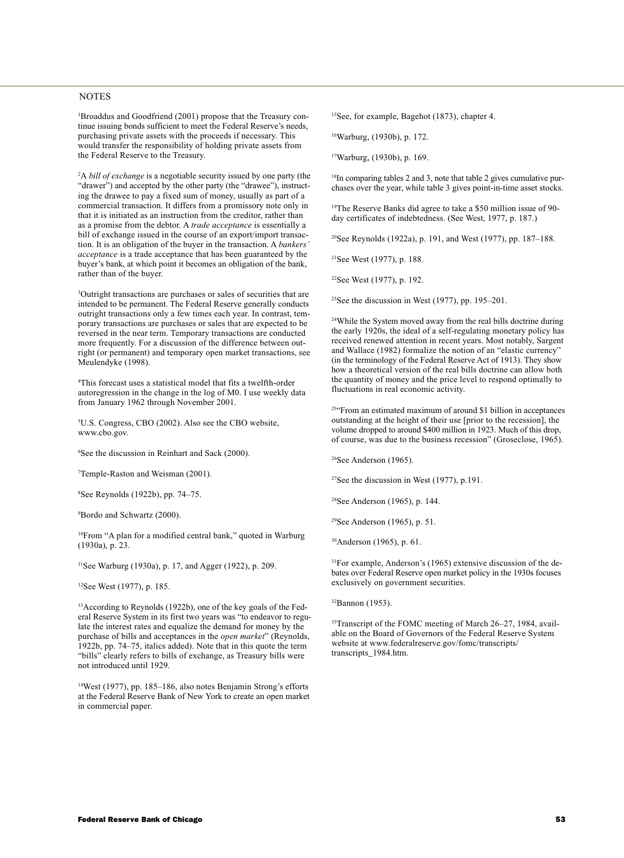#### NOTES

1 Broaddus and Goodfriend (2001) propose that the Treasury continue issuing bonds sufficient to meet the Federal Reserve's needs, purchasing private assets with the proceeds if necessary. This would transfer the responsibility of holding private assets from the Federal Reserve to the Treasury.

2 A *bill of exchange* is a negotiable security issued by one party (the "drawer") and accepted by the other party (the "drawee"), instructing the drawee to pay a fixed sum of money, usually as part of a commercial transaction. It differs from a promissory note only in that it is initiated as an instruction from the creditor, rather than as a promise from the debtor. A *trade acceptance* is essentially a bill of exchange issued in the course of an export/import transaction. It is an obligation of the buyer in the transaction. A *bankers' acceptance* is a trade acceptance that has been guaranteed by the buyer's bank, at which point it becomes an obligation of the bank, rather than of the buyer.

3 Outright transactions are purchases or sales of securities that are intended to be permanent. The Federal Reserve generally conducts outright transactions only a few times each year. In contrast, temporary transactions are purchases or sales that are expected to be reversed in the near term. Temporary transactions are conducted more frequently. For a discussion of the difference between outright (or permanent) and temporary open market transactions, see Meulendyke (1998).

4 This forecast uses a statistical model that fits a twelfth-order autoregression in the change in the log of M0. I use weekly data from January 1962 through November 2001.

5 U.S. Congress, CBO (2002). Also see the CBO website, www.cbo.gov.

6 See the discussion in Reinhart and Sack (2000).

7 Temple-Raston and Weisman (2001).

8 See Reynolds (1922b), pp. 74–75.

9 Bordo and Schwartz (2000).

10From "A plan for a modified central bank," quoted in Warburg (1930a), p. 23.

11See Warburg (1930a), p. 17, and Agger (1922), p. 209.

12See West (1977), p. 185.

13According to Reynolds (1922b), one of the key goals of the Federal Reserve System in its first two years was "to endeavor to regulate the interest rates and equalize the demand for money by the purchase of bills and acceptances in the *open market*" (Reynolds, 1922b, pp. 74–75, italics added). Note that in this quote the term "bills" clearly refers to bills of exchange, as Treasury bills were not introduced until 1929.

14West (1977), pp. 185–186, also notes Benjamin Strong's efforts at the Federal Reserve Bank of New York to create an open market in commercial paper.

15See, for example, Bagehot (1873), chapter 4.

16Warburg, (1930b), p. 172.

17Warburg, (1930b), p. 169.

<sup>18</sup>In comparing tables 2 and 3, note that table 2 gives cumulative purchases over the year, while table 3 gives point-in-time asset stocks.

19The Reserve Banks did agree to take a \$50 million issue of 90 day certificates of indebtedness. (See West, 1977, p. 187.)

20See Reynolds (1922a), p. 191, and West (1977), pp. 187–188.

21See West (1977), p. 188.

22See West (1977), p. 192.

<sup>23</sup>See the discussion in West (1977), pp.  $195-201$ .

24While the System moved away from the real bills doctrine during the early 1920s, the ideal of a self-regulating monetary policy has received renewed attention in recent years. Most notably, Sargent and Wallace (1982) formalize the notion of an "elastic currency" (in the terminology of the Federal Reserve Act of 1913). They show how a theoretical version of the real bills doctrine can allow both the quantity of money and the price level to respond optimally to fluctuations in real economic activity.

25"From an estimated maximum of around \$1 billion in acceptances outstanding at the height of their use [prior to the recession], the volume dropped to around \$400 million in 1923. Much of this drop, of course, was due to the business recession" (Groseclose, 1965).

<sup>26</sup>See Anderson (1965).

 $27$ See the discussion in West (1977), p.191.

28See Anderson (1965), p. 144.

29See Anderson (1965), p. 51.

30Anderson (1965), p. 61.

31For example, Anderson's (1965) extensive discussion of the debates over Federal Reserve open market policy in the 1930s focuses exclusively on government securities.

32Bannon (1953).

<sup>33</sup>Transcript of the FOMC meeting of March 26–27, 1984, available on the Board of Governors of the Federal Reserve System website at www.federalreserve.gov/fomc/transcripts/ transcripts\_1984.htm.